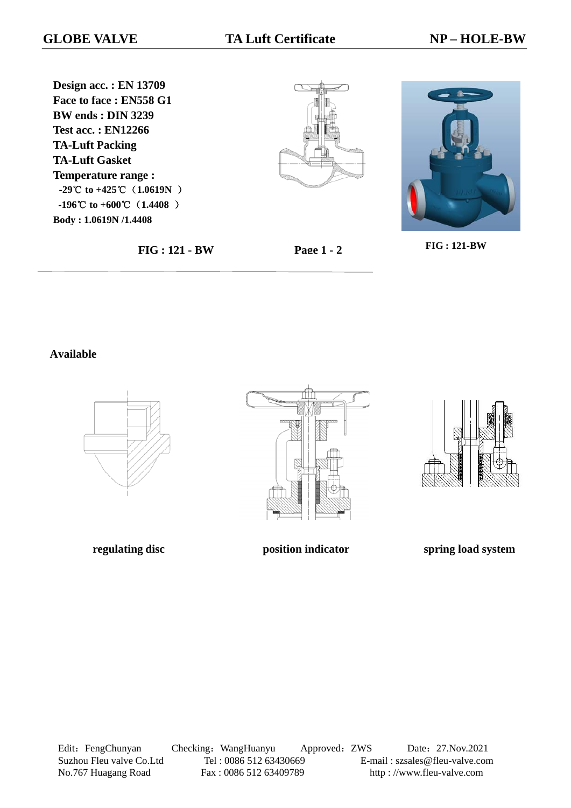**Design acc. : EN 13709 Face to face : EN558 G1 BW ends : DIN 3239 Test acc. : EN12266 TA-Luft Packing TA-Luft Gasket Temperature range : -29**℃ **to +425**℃(**1.0619N** )  **-196 to** ℃ **+600**℃(**1.4408** ) **Body : 1.0619N /1.4408**





**FIG : 121-BW** 

**FIG : 121 - BW Page 1 - 2**

### **Available**







**regulating disc position indicator position indicator spring load system** 

Edit: FengChunyan Checking: WangHuanyu Approved: ZWS Date: 27.Nov.2021 Suzhou Fleu valve Co.Ltd Tel : 0086 512 63430669 E-mail : szsales@fleu-valve.com<br>No.767 Huagang Road Fax : 0086 512 63409789 http : //www.fleu-valve.com No.767 Huagang Road Fax : 0086 512 63409789 http : //www.fleu-valve.com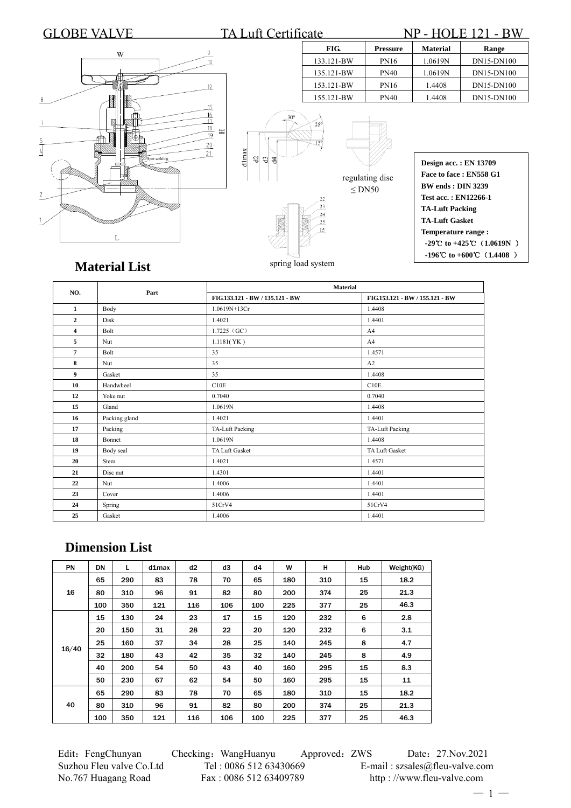### GLOBE VALVE TA Luft Certificate NP - HOLE 121 - BW **FIG. Pressure Material Range**  $\overline{Q}$ W  $10$ 133.121-BW PN16 1.0619N DN15-DN100 135.121-BW PN40 1.0619N DN15-DN100 153.121-BW PN16 1.4408 DN15-DN100  $12$ 155.121-BW PN40 1.4408 DN15-DN100  $15$  $rac{16}{17}$  $\frac{18}{19}$  $\equiv$  $20$  $\overline{4}$  $\overline{21}$ dlmax ot welding **Design acc. : EN 13709 Face to face : EN558 G1**  regulating disc **BW ends : DIN 3239**   $\leq$ DN50 **Test acc. : EN12266-1**   $23$ **TA-Luft Packing**   $^{24}$ **TA-Luft Gasket**  25 **Temperature range : -29 to** ℃ **+425**℃(**1.0619N** )  **-196 to** ℃ **+600**℃(**1.4408** )

spring load system

## **Material List**

| NO.            | Part          | <b>Material</b>                 |                                 |  |  |  |
|----------------|---------------|---------------------------------|---------------------------------|--|--|--|
|                |               | FIG.133.121 - BW / 135.121 - BW | FIG.153.121 - BW / 155.121 - BW |  |  |  |
| 1              | Body          | 1.0619N+13Cr                    | 1.4408                          |  |  |  |
| $\mathbf{2}$   | Disk          | 1.4021                          | 1.4401                          |  |  |  |
| 4              | Bolt          | $1.7225$ (GC)                   | A <sub>4</sub>                  |  |  |  |
| 5              | Nut           | 1.1181(YK)                      | A <sub>4</sub>                  |  |  |  |
| $\overline{7}$ | Bolt          | 35                              | 1.4571                          |  |  |  |
| 8              | Nut           | 35                              | A2                              |  |  |  |
| 9              | Gasket        | 35                              | 1.4408                          |  |  |  |
| 10             | Handwheel     | C10E                            | C10E                            |  |  |  |
| 12             | Yoke nut      | 0.7040                          | 0.7040                          |  |  |  |
| 15             | Gland         | 1.0619N                         | 1.4408                          |  |  |  |
| 16             | Packing gland | 1.4021                          | 1.4401                          |  |  |  |
| 17             | Packing       | TA-Luft Packing                 | <b>TA-Luft Packing</b>          |  |  |  |
| 18             | Bonnet        | 1.0619N                         | 1.4408                          |  |  |  |
| 19             | Body seal     | TA Luft Gasket                  | TA Luft Gasket                  |  |  |  |
| 20             | Stem          | 1.4021                          | 1.4571                          |  |  |  |
| 21             | Disc nut      | 1.4301                          | 1.4401                          |  |  |  |
| 22             | Nut           | 1.4006                          | 1.4401                          |  |  |  |
| 23             | Cover         | 1.4006                          | 1.4401                          |  |  |  |
| 24             | Spring        | 51CrV4                          | 51CrV4                          |  |  |  |
| 25             | Gasket        | 1.4006                          | 1.4401                          |  |  |  |

# **Dimension List**

| PN    | <b>DN</b> | L   | d1max | d2  | d3  | d4  | W   | н   | Hub | Weight(KG) |
|-------|-----------|-----|-------|-----|-----|-----|-----|-----|-----|------------|
| 16    | 65        | 290 | 83    | 78  | 70  | 65  | 180 | 310 | 15  | 18.2       |
|       | 80        | 310 | 96    | 91  | 82  | 80  | 200 | 374 | 25  | 21.3       |
|       | 100       | 350 | 121   | 116 | 106 | 100 | 225 | 377 | 25  | 46.3       |
|       | 15        | 130 | 24    | 23  | 17  | 15  | 120 | 232 | 6   | 2.8        |
|       | 20        | 150 | 31    | 28  | 22  | 20  | 120 | 232 | 6   | 3.1        |
|       | 25        | 160 | 37    | 34  | 28  | 25  | 140 | 245 | 8   | 4.7        |
| 16/40 | 32        | 180 | 43    | 42  | 35  | 32  | 140 | 245 | 8   | 4.9        |
|       | 40        | 200 | 54    | 50  | 43  | 40  | 160 | 295 | 15  | 8.3        |
|       | 50        | 230 | 67    | 62  | 54  | 50  | 160 | 295 | 15  | 11         |
| 40    | 65        | 290 | 83    | 78  | 70  | 65  | 180 | 310 | 15  | 18.2       |
|       | 80        | 310 | 96    | 91  | 82  | 80  | 200 | 374 | 25  | 21.3       |
|       | 100       | 350 | 121   | 116 | 106 | 100 | 225 | 377 | 25  | 46.3       |

Edit: FengChunyan Checking: WangHuanyu Approved: ZWS Date: 27.Nov.2021<br>Suzhou Fleu valve Co.Ltd Tel: 0086 512 63430669 E-mail: szsales@fleu-valve.com Suzhou Fleu valve Co.Ltd Tel : 0086 512 63430669 E-mail : szsales@fleu-valve.com No.767 Huagang Road Fax : 0086 512 63409789 http : //www.fleu-valve.com